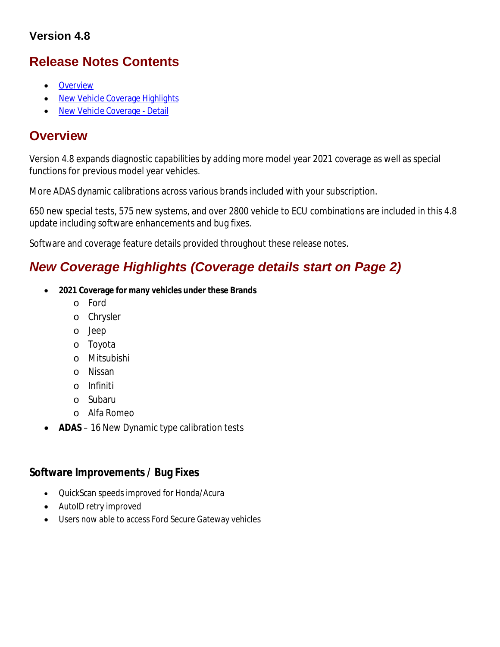### **Version 4.8**

# **Release Notes Contents**

- **•** Overview
- New Vehicle Coverage Highlights
- New Vehicle Coverage Detail

## **Overview**

Version 4.8 expands diagnostic capabilities by adding more model year 2021 coverage as well as special functions for previous model year vehicles.

More ADAS dynamic calibrations across various brands included with your subscription.

650 new special tests, 575 new systems, and over 2800 vehicle to ECU combinations are included in this 4.8 update including software enhancements and bug fixes.

Software and coverage feature details provided throughout these release notes.

# *New Coverage Highlights (Coverage details start on Page 2)*

- **2021 Coverage for many vehicles under these Brands**
	- o Ford
	- o Chrysler
	- o Jeep
	- o Toyota
	- o Mitsubishi
	- o Nissan
	- o Infiniti
	- o Subaru
	- o Alfa Romeo
	- **ADAS**  16 New Dynamic type calibration tests

### **Software Improvements / Bug Fixes**

- QuickScan speeds improved for Honda/Acura
- AutoID retry improved
- Users now able to access Ford Secure Gateway vehicles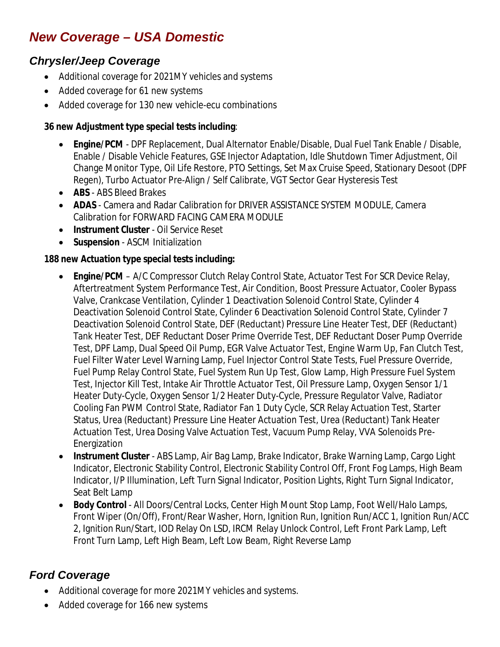# *New Coverage – USA Domestic*

### *Chrysler/Jeep Coverage*

- Additional coverage for 2021MY vehicles and systems
- Added coverage for 61 new systems
- Added coverage for 130 new vehicle-ecu combinations

#### **36 new Adjustment type special tests including**:

- **Engine/PCM** DPF Replacement, Dual Alternator Enable/Disable, Dual Fuel Tank Enable / Disable, Enable / Disable Vehicle Features, GSE Injector Adaptation, Idle Shutdown Timer Adjustment, Oil Change Monitor Type, Oil Life Restore, PTO Settings, Set Max Cruise Speed, Stationary Desoot (DPF Regen), Turbo Actuator Pre-Align / Self Calibrate, VGT Sector Gear Hysteresis Test
- **ABS** ABS Bleed Brakes
- **ADAS**  Camera and Radar Calibration for DRIVER ASSISTANCE SYSTEM MODULE, Camera Calibration for FORWARD FACING CAMERA MODULE
- **Instrument Cluster** Oil Service Reset
- **Suspension** ASCM Initialization

#### **188 new Actuation type special tests including:**

- **Engine/PCM** A/C Compressor Clutch Relay Control State, Actuator Test For SCR Device Relay, Aftertreatment System Performance Test, Air Condition, Boost Pressure Actuator, Cooler Bypass Valve, Crankcase Ventilation, Cylinder 1 Deactivation Solenoid Control State, Cylinder 4 Deactivation Solenoid Control State, Cylinder 6 Deactivation Solenoid Control State, Cylinder 7 Deactivation Solenoid Control State, DEF (Reductant) Pressure Line Heater Test, DEF (Reductant) Tank Heater Test, DEF Reductant Doser Prime Override Test, DEF Reductant Doser Pump Override Test, DPF Lamp, Dual Speed Oil Pump, EGR Valve Actuator Test, Engine Warm Up, Fan Clutch Test, Fuel Filter Water Level Warning Lamp, Fuel Injector Control State Tests, Fuel Pressure Override, Fuel Pump Relay Control State, Fuel System Run Up Test, Glow Lamp, High Pressure Fuel System Test, Injector Kill Test, Intake Air Throttle Actuator Test, Oil Pressure Lamp, Oxygen Sensor 1/1 Heater Duty-Cycle, Oxygen Sensor 1/2 Heater Duty-Cycle, Pressure Regulator Valve, Radiator Cooling Fan PWM Control State, Radiator Fan 1 Duty Cycle, SCR Relay Actuation Test, Starter Status, Urea (Reductant) Pressure Line Heater Actuation Test, Urea (Reductant) Tank Heater Actuation Test, Urea Dosing Valve Actuation Test, Vacuum Pump Relay, VVA Solenoids Pre-Energization
- **Instrument Cluster** ABS Lamp, Air Bag Lamp, Brake Indicator, Brake Warning Lamp, Cargo Light Indicator, Electronic Stability Control, Electronic Stability Control Off, Front Fog Lamps, High Beam Indicator, I/P Illumination, Left Turn Signal Indicator, Position Lights, Right Turn Signal Indicator, Seat Belt Lamp
- **Body Control** All Doors/Central Locks, Center High Mount Stop Lamp, Foot Well/Halo Lamps, Front Wiper (On/Off), Front/Rear Washer, Horn, Ignition Run, Ignition Run/ACC 1, Ignition Run/ACC 2, Ignition Run/Start, IOD Relay On LSD, IRCM Relay Unlock Control, Left Front Park Lamp, Left Front Turn Lamp, Left High Beam, Left Low Beam, Right Reverse Lamp

### *Ford Coverage*

- Additional coverage for more 2021MY vehicles and systems.
- Added coverage for 166 new systems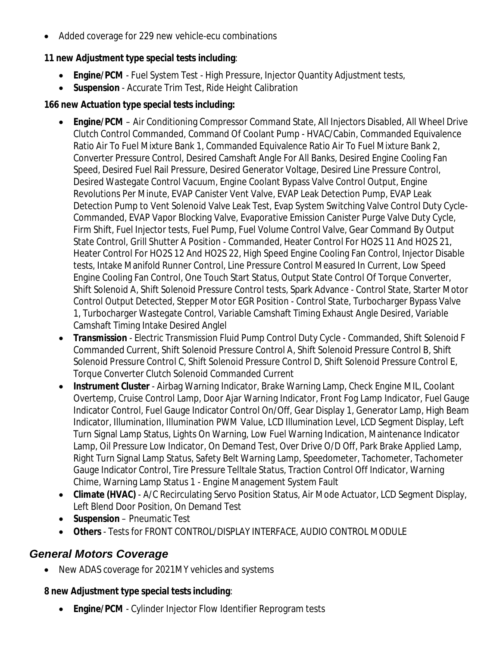Added coverage for 229 new vehicle-ecu combinations

#### **11 new Adjustment type special tests including**:

- **Engine/PCM** Fuel System Test High Pressure, Injector Quantity Adjustment tests,
- **Suspension**  Accurate Trim Test, Ride Height Calibration

#### **166 new Actuation type special tests including:**

- **Engine/PCM** Air Conditioning Compressor Command State, All Injectors Disabled, All Wheel Drive Clutch Control Commanded, Command Of Coolant Pump - HVAC/Cabin, Commanded Equivalence Ratio Air To Fuel Mixture Bank 1, Commanded Equivalence Ratio Air To Fuel Mixture Bank 2, Converter Pressure Control, Desired Camshaft Angle For All Banks, Desired Engine Cooling Fan Speed, Desired Fuel Rail Pressure, Desired Generator Voltage, Desired Line Pressure Control, Desired Wastegate Control Vacuum, Engine Coolant Bypass Valve Control Output, Engine Revolutions Per Minute, EVAP Canister Vent Valve, EVAP Leak Detection Pump, EVAP Leak Detection Pump to Vent Solenoid Valve Leak Test, Evap System Switching Valve Control Duty Cycle-Commanded, EVAP Vapor Blocking Valve, Evaporative Emission Canister Purge Valve Duty Cycle, Firm Shift, Fuel Injector tests, Fuel Pump, Fuel Volume Control Valve, Gear Command By Output State Control, Grill Shutter A Position - Commanded, Heater Control For HO2S 11 And HO2S 21, Heater Control For HO2S 12 And HO2S 22, High Speed Engine Cooling Fan Control, Injector Disable tests, Intake Manifold Runner Control, Line Pressure Control Measured In Current, Low Speed Engine Cooling Fan Control, One Touch Start Status, Output State Control Of Torque Converter, Shift Solenoid A, Shift Solenoid Pressure Control tests, Spark Advance - Control State, Starter Motor Control Output Detected, Stepper Motor EGR Position - Control State, Turbocharger Bypass Valve 1, Turbocharger Wastegate Control, Variable Camshaft Timing Exhaust Angle Desired, Variable Camshaft Timing Intake Desired Anglel
- **Transmission** Electric Transmission Fluid Pump Control Duty Cycle Commanded, Shift Solenoid F Commanded Current, Shift Solenoid Pressure Control A, Shift Solenoid Pressure Control B, Shift Solenoid Pressure Control C, Shift Solenoid Pressure Control D, Shift Solenoid Pressure Control E, Torque Converter Clutch Solenoid Commanded Current
- **Instrument Cluster** Airbag Warning Indicator, Brake Warning Lamp, Check Engine MIL, Coolant Overtemp, Cruise Control Lamp, Door Ajar Warning Indicator, Front Fog Lamp Indicator, Fuel Gauge Indicator Control, Fuel Gauge Indicator Control On/Off, Gear Display 1, Generator Lamp, High Beam Indicator, Illumination, Illumination PWM Value, LCD Illumination Level, LCD Segment Display, Left Turn Signal Lamp Status, Lights On Warning, Low Fuel Warning Indication, Maintenance Indicator Lamp, Oil Pressure Low Indicator, On Demand Test, Over Drive O/D Off, Park Brake Applied Lamp, Right Turn Signal Lamp Status, Safety Belt Warning Lamp, Speedometer, Tachometer, Tachometer Gauge Indicator Control, Tire Pressure Telltale Status, Traction Control Off Indicator, Warning Chime, Warning Lamp Status 1 - Engine Management System Fault
- **Climate (HVAC)** A/C Recirculating Servo Position Status, Air Mode Actuator, LCD Segment Display, Left Blend Door Position, On Demand Test
- **Suspension** Pneumatic Test
- **Others** Tests for FRONT CONTROL/DISPLAY INTERFACE, AUDIO CONTROL MODULE

### *General Motors Coverage*

New ADAS coverage for 2021MY vehicles and systems

#### **8 new Adjustment type special tests including**:

**Engine/PCM** - Cylinder Injector Flow Identifier Reprogram tests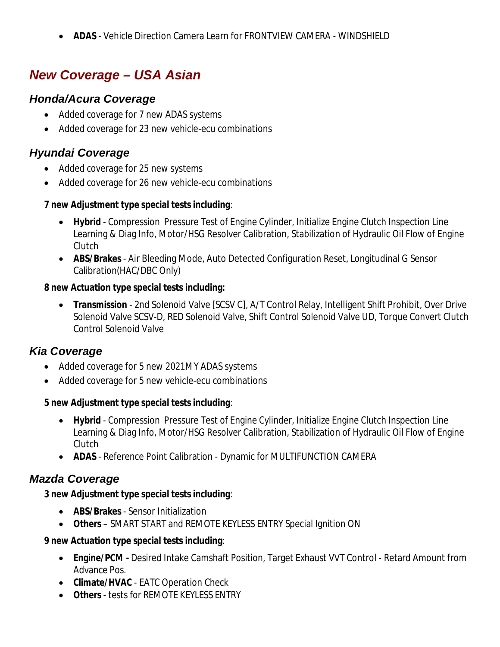**ADAS** - Vehicle Direction Camera Learn for FRONTVIEW CAMERA - WINDSHIELD

# *New Coverage – USA Asian*

### *Honda/Acura Coverage*

- Added coverage for 7 new ADAS systems
- Added coverage for 23 new vehicle-ecu combinations

### *Hyundai Coverage*

- Added coverage for 25 new systems
- Added coverage for 26 new vehicle-ecu combinations

#### **7 new Adjustment type special tests including**:

- **Hybrid** Compression Pressure Test of Engine Cylinder, Initialize Engine Clutch Inspection Line Learning & Diag Info, Motor/HSG Resolver Calibration, Stabilization of Hydraulic Oil Flow of Engine Clutch
- **ABS/Brakes** Air Bleeding Mode, Auto Detected Configuration Reset, Longitudinal G Sensor Calibration(HAC/DBC Only)

#### **8 new Actuation type special tests including:**

 **Transmission** - 2nd Solenoid Valve [SCSV C], A/T Control Relay, Intelligent Shift Prohibit, Over Drive Solenoid Valve SCSV-D, RED Solenoid Valve, Shift Control Solenoid Valve UD, Torque Convert Clutch Control Solenoid Valve

### *Kia Coverage*

- Added coverage for 5 new 2021MY ADAS systems
- Added coverage for 5 new vehicle-ecu combinations

#### **5 new Adjustment type special tests including**:

- **Hybrid** Compression Pressure Test of Engine Cylinder, Initialize Engine Clutch Inspection Line Learning & Diag Info, Motor/HSG Resolver Calibration, Stabilization of Hydraulic Oil Flow of Engine Clutch
- **ADAS**  Reference Point Calibration Dynamic for MULTIFUNCTION CAMERA

### *Mazda Coverage*

#### **3 new Adjustment type special tests including**:

- **ABS/Brakes** Sensor Initialization
- **Others**  SMART START and REMOTE KEYLESS ENTRY Special Ignition ON

#### **9 new Actuation type special tests including**:

- **Engine/PCM -** Desired Intake Camshaft Position, Target Exhaust VVT Control Retard Amount from Advance Pos.
- **Climate/HVAC** EATC Operation Check
- **Others** tests for REMOTE KEYLESS ENTRY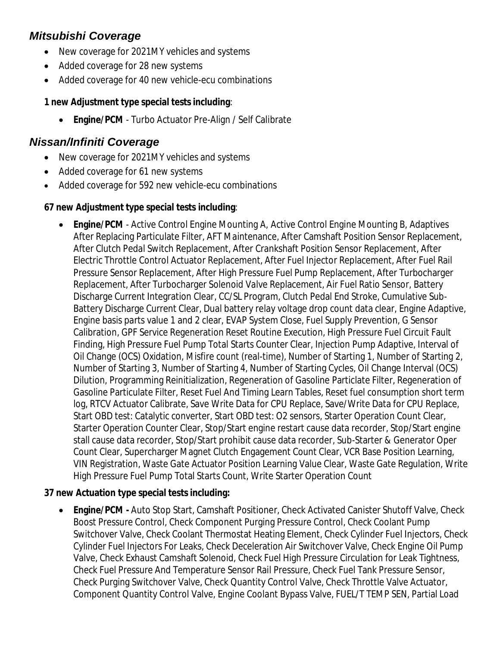### *Mitsubishi Coverage*

- New coverage for 2021MY vehicles and systems
- Added coverage for 28 new systems
- Added coverage for 40 new vehicle-ecu combinations

#### **1 new Adjustment type special tests including**:

**Engine/PCM** - Turbo Actuator Pre-Align / Self Calibrate

### *Nissan/Infiniti Coverage*

- New coverage for 2021MY vehicles and systems
- Added coverage for 61 new systems
- Added coverage for 592 new vehicle-ecu combinations

#### **67 new Adjustment type special tests including**:

 **Engine/PCM** - Active Control Engine Mounting A, Active Control Engine Mounting B, Adaptives After Replacing Particulate Filter, AFT Maintenance, After Camshaft Position Sensor Replacement, After Clutch Pedal Switch Replacement, After Crankshaft Position Sensor Replacement, After Electric Throttle Control Actuator Replacement, After Fuel Injector Replacement, After Fuel Rail Pressure Sensor Replacement, After High Pressure Fuel Pump Replacement, After Turbocharger Replacement, After Turbocharger Solenoid Valve Replacement, Air Fuel Ratio Sensor, Battery Discharge Current Integration Clear, CC/SL Program, Clutch Pedal End Stroke, Cumulative Sub-Battery Discharge Current Clear, Dual battery relay voltage drop count data clear, Engine Adaptive, Engine basis parts value 1 and 2 clear, EVAP System Close, Fuel Supply Prevention, G Sensor Calibration, GPF Service Regeneration Reset Routine Execution, High Pressure Fuel Circuit Fault Finding, High Pressure Fuel Pump Total Starts Counter Clear, Injection Pump Adaptive, Interval of Oil Change (OCS) Oxidation, Misfire count (real-time), Number of Starting 1, Number of Starting 2, Number of Starting 3, Number of Starting 4, Number of Starting Cycles, Oil Change Interval (OCS) Dilution, Programming Reinitialization, Regeneration of Gasoline Particlate Filter, Regeneration of Gasoline Particulate Filter, Reset Fuel And Timing Learn Tables, Reset fuel consumption short term log, RTCV Actuator Calibrate, Save Write Data for CPU Replace, Save/Write Data for CPU Replace, Start OBD test: Catalytic converter, Start OBD test: O2 sensors, Starter Operation Count Clear, Starter Operation Counter Clear, Stop/Start engine restart cause data recorder, Stop/Start engine stall cause data recorder, Stop/Start prohibit cause data recorder, Sub-Starter & Generator Oper Count Clear, Supercharger Magnet Clutch Engagement Count Clear, VCR Base Position Learning, VIN Registration, Waste Gate Actuator Position Learning Value Clear, Waste Gate Regulation, Write High Pressure Fuel Pump Total Starts Count, Write Starter Operation Count

#### **37 new Actuation type special tests including:**

 **Engine/PCM -** Auto Stop Start, Camshaft Positioner, Check Activated Canister Shutoff Valve, Check Boost Pressure Control, Check Component Purging Pressure Control, Check Coolant Pump Switchover Valve, Check Coolant Thermostat Heating Element, Check Cylinder Fuel Injectors, Check Cylinder Fuel Injectors For Leaks, Check Deceleration Air Switchover Valve, Check Engine Oil Pump Valve, Check Exhaust Camshaft Solenoid, Check Fuel High Pressure Circulation for Leak Tightness, Check Fuel Pressure And Temperature Sensor Rail Pressure, Check Fuel Tank Pressure Sensor, Check Purging Switchover Valve, Check Quantity Control Valve, Check Throttle Valve Actuator, Component Quantity Control Valve, Engine Coolant Bypass Valve, FUEL/T TEMP SEN, Partial Load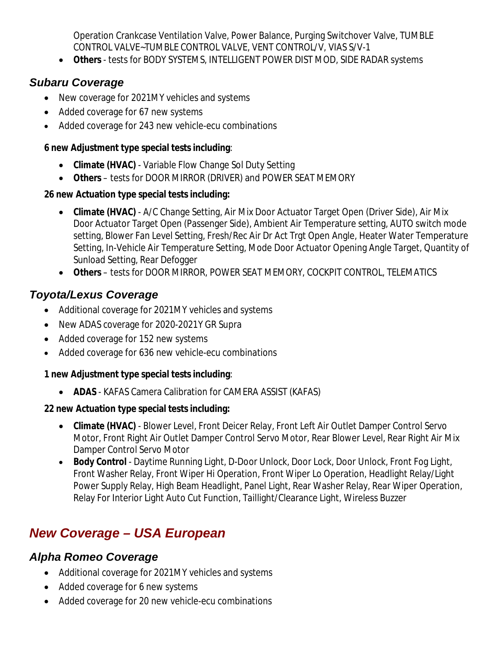Operation Crankcase Ventilation Valve, Power Balance, Purging Switchover Valve, TUMBLE CONTROL VALVE~TUMBLE CONTROL VALVE, VENT CONTROL/V, VIAS S/V-1

**Others** - tests for BODY SYSTEMS, INTELLIGENT POWER DIST MOD, SIDE RADAR systems

## *Subaru Coverage*

- New coverage for 2021MY vehicles and systems
- Added coverage for 67 new systems
- Added coverage for 243 new vehicle-ecu combinations

### **6 new Adjustment type special tests including**:

- **Climate (HVAC)** Variable Flow Change Sol Duty Setting
- **Others** tests for DOOR MIRROR (DRIVER) and POWER SEAT MEMORY

### **26 new Actuation type special tests including:**

- **Climate (HVAC)** A/C Change Setting, Air Mix Door Actuator Target Open (Driver Side), Air Mix Door Actuator Target Open (Passenger Side), Ambient Air Temperature setting, AUTO switch mode setting, Blower Fan Level Setting, Fresh/Rec Air Dr Act Trgt Open Angle, Heater Water Temperature Setting, In-Vehicle Air Temperature Setting, Mode Door Actuator Opening Angle Target, Quantity of Sunload Setting, Rear Defogger
- **Others** tests for DOOR MIRROR, POWER SEAT MEMORY, COCKPIT CONTROL, TELEMATICS

# *Toyota/Lexus Coverage*

- Additional coverage for 2021MY vehicles and systems
- New ADAS coverage for 2020-2021Y GR Supra
- Added coverage for 152 new systems
- Added coverage for 636 new vehicle-ecu combinations

### **1 new Adjustment type special tests including**:

**ADAS** - KAFAS Camera Calibration for CAMERA ASSIST (KAFAS)

### **22 new Actuation type special tests including:**

- **Climate (HVAC)** Blower Level, Front Deicer Relay, Front Left Air Outlet Damper Control Servo Motor, Front Right Air Outlet Damper Control Servo Motor, Rear Blower Level, Rear Right Air Mix Damper Control Servo Motor
- **Body Control** Daytime Running Light, D-Door Unlock, Door Lock, Door Unlock, Front Fog Light, Front Washer Relay, Front Wiper Hi Operation, Front Wiper Lo Operation, Headlight Relay/Light Power Supply Relay, High Beam Headlight, Panel Light, Rear Washer Relay, Rear Wiper Operation, Relay For Interior Light Auto Cut Function, Taillight/Clearance Light, Wireless Buzzer

# *New Coverage – USA European*

## *Alpha Romeo Coverage*

- Additional coverage for 2021MY vehicles and systems
- Added coverage for 6 new systems
- Added coverage for 20 new vehicle-ecu combinations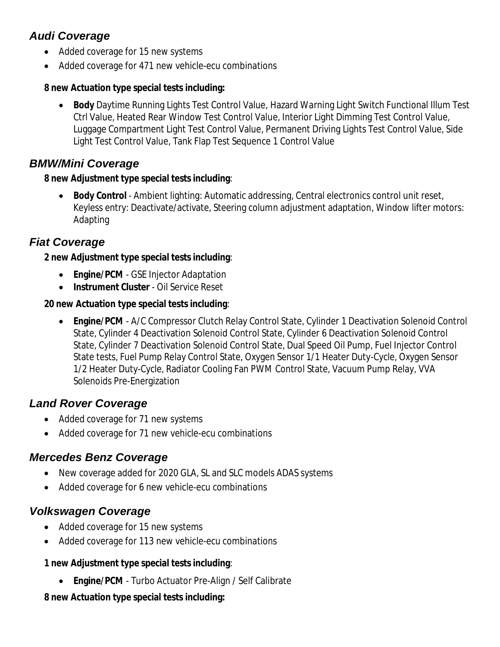## *Audi Coverage*

- Added coverage for 15 new systems
- Added coverage for 471 new vehicle-ecu combinations

#### **8 new Actuation type special tests including:**

 **Body** Daytime Running Lights Test Control Value, Hazard Warning Light Switch Functional Illum Test Ctrl Value, Heated Rear Window Test Control Value, Interior Light Dimming Test Control Value, Luggage Compartment Light Test Control Value, Permanent Driving Lights Test Control Value, Side Light Test Control Value, Tank Flap Test Sequence 1 Control Value

### *BMW/Mini Coverage*

#### **8 new Adjustment type special tests including**:

 **Body Control** - Ambient lighting: Automatic addressing, Central electronics control unit reset, Keyless entry: Deactivate/activate, Steering column adjustment adaptation, Window lifter motors: Adapting

### *Fiat Coverage*

#### **2 new Adjustment type special tests including**:

- **Engine/PCM** GSE Injector Adaptation
- **Instrument Cluster** Oil Service Reset

#### **20 new Actuation type special tests including**:

 **Engine/PCM** - A/C Compressor Clutch Relay Control State, Cylinder 1 Deactivation Solenoid Control State, Cylinder 4 Deactivation Solenoid Control State, Cylinder 6 Deactivation Solenoid Control State, Cylinder 7 Deactivation Solenoid Control State, Dual Speed Oil Pump, Fuel Injector Control State tests, Fuel Pump Relay Control State, Oxygen Sensor 1/1 Heater Duty-Cycle, Oxygen Sensor 1/2 Heater Duty-Cycle, Radiator Cooling Fan PWM Control State, Vacuum Pump Relay, VVA Solenoids Pre-Energization

### *Land Rover Coverage*

- Added coverage for 71 new systems
- Added coverage for 71 new vehicle-ecu combinations

### *Mercedes Benz Coverage*

- New coverage added for 2020 GLA, SL and SLC models ADAS systems
- Added coverage for 6 new vehicle-ecu combinations

### *Volkswagen Coverage*

- Added coverage for 15 new systems
- Added coverage for 113 new vehicle-ecu combinations

#### **1 new Adjustment type special tests including**:

**Engine/PCM** - Turbo Actuator Pre-Align / Self Calibrate

### **8 new Actuation type special tests including:**